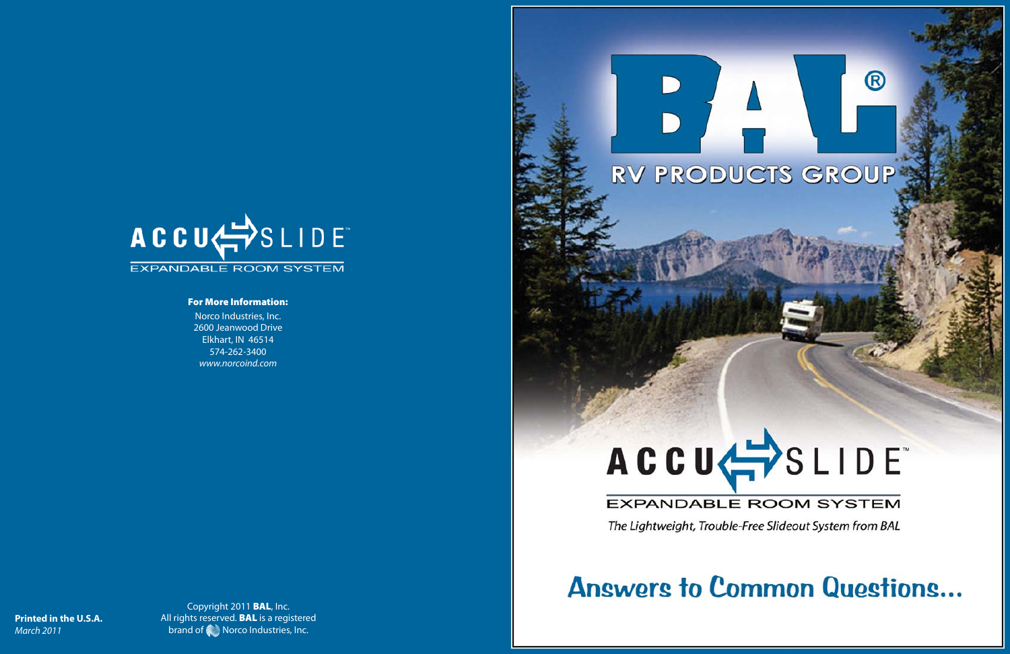

### For More Information:

Copyright 2011 BAL, Inc. All rights reserved. **BAL** is a registered brand of  $\frac{m}{m}$  Norco Industries, Inc.

## **EXPANDABLE ROOM SYSTEM**

The Lightweight, Trouble-Free Slideout System from BAL

Norco Industries, Inc. 2600 Jeanwood Drive Elkhart, IN 46514 574-262-3400 *www.norcoind.com*



# **Answers to Common Questions...**

**Printed in the U.S.A.** *March 2011*